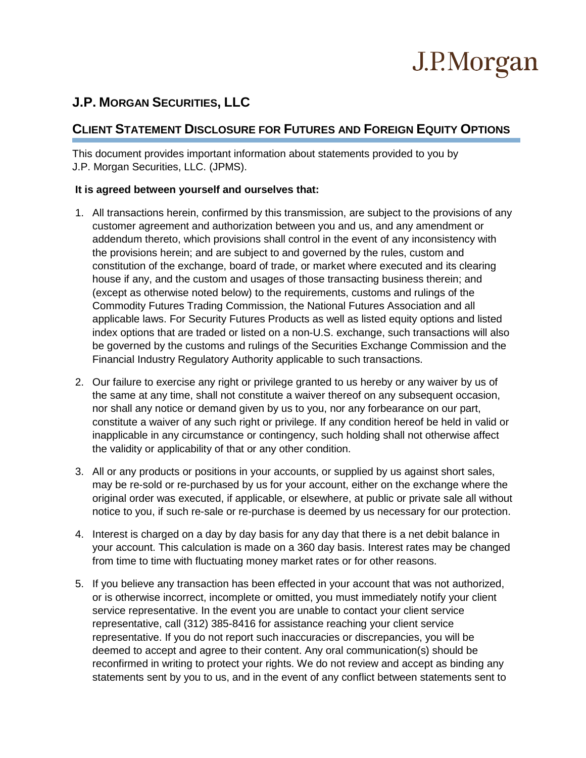# J.P.Morgan

### **J.P. MORGAN SECURITIES, LLC**

#### **CLIENT STATEMENT DISCLOSURE FOR FUTURES AND FOREIGN EQUITY OPTIONS**

This document provides important information about statements provided to you by J.P. Morgan Securities, LLC. (JPMS).

#### **It is agreed between yourself and ourselves that:**

- 1. All transactions herein, confirmed by this transmission, are subject to the provisions of any customer agreement and authorization between you and us, and any amendment or addendum thereto, which provisions shall control in the event of any inconsistency with the provisions herein; and are subject to and governed by the rules, custom and constitution of the exchange, board of trade, or market where executed and its clearing house if any, and the custom and usages of those transacting business therein; and (except as otherwise noted below) to the requirements, customs and rulings of the Commodity Futures Trading Commission, the National Futures Association and all applicable laws. For Security Futures Products as well as listed equity options and listed index options that are traded or listed on a non-U.S. exchange, such transactions will also be governed by the customs and rulings of the Securities Exchange Commission and the Financial Industry Regulatory Authority applicable to such transactions.
- 2. Our failure to exercise any right or privilege granted to us hereby or any waiver by us of the same at any time, shall not constitute a waiver thereof on any subsequent occasion, nor shall any notice or demand given by us to you, nor any forbearance on our part, constitute a waiver of any such right or privilege. If any condition hereof be held in valid or inapplicable in any circumstance or contingency, such holding shall not otherwise affect the validity or applicability of that or any other condition.
- 3. All or any products or positions in your accounts, or supplied by us against short sales, may be re-sold or re-purchased by us for your account, either on the exchange where the original order was executed, if applicable, or elsewhere, at public or private sale all without notice to you, if such re-sale or re-purchase is deemed by us necessary for our protection.
- 4. Interest is charged on a day by day basis for any day that there is a net debit balance in your account. This calculation is made on a 360 day basis. Interest rates may be changed from time to time with fluctuating money market rates or for other reasons.
- 5. If you believe any transaction has been effected in your account that was not authorized, or is otherwise incorrect, incomplete or omitted, you must immediately notify your client service representative. In the event you are unable to contact your client service representative, call (312) 385-8416 for assistance reaching your client service representative. If you do not report such inaccuracies or discrepancies, you will be deemed to accept and agree to their content. Any oral communication(s) should be reconfirmed in writing to protect your rights. We do not review and accept as binding any statements sent by you to us, and in the event of any conflict between statements sent to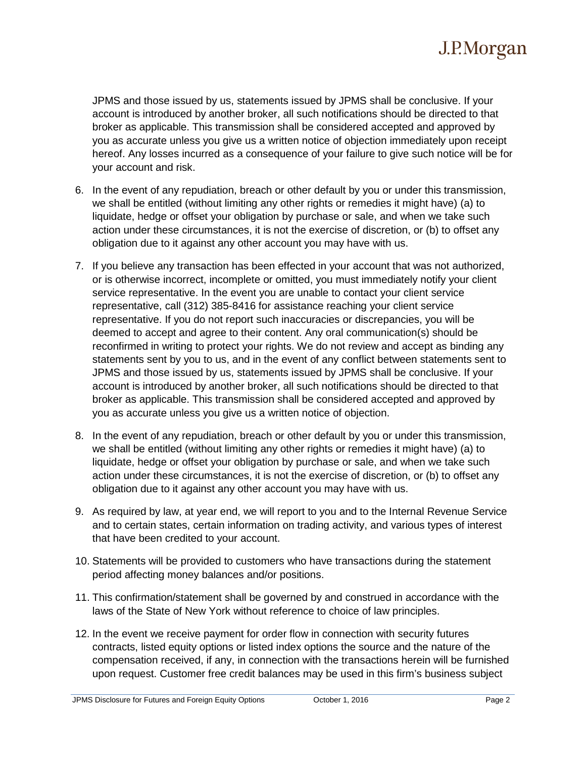JPMS and those issued by us, statements issued by JPMS shall be conclusive. If your account is introduced by another broker, all such notifications should be directed to that broker as applicable. This transmission shall be considered accepted and approved by you as accurate unless you give us a written notice of objection immediately upon receipt hereof. Any losses incurred as a consequence of your failure to give such notice will be for your account and risk.

- 6. In the event of any repudiation, breach or other default by you or under this transmission, we shall be entitled (without limiting any other rights or remedies it might have) (a) to liquidate, hedge or offset your obligation by purchase or sale, and when we take such action under these circumstances, it is not the exercise of discretion, or (b) to offset any obligation due to it against any other account you may have with us.
- 7. If you believe any transaction has been effected in your account that was not authorized, or is otherwise incorrect, incomplete or omitted, you must immediately notify your client service representative. In the event you are unable to contact your client service representative, call (312) 385-8416 for assistance reaching your client service representative. If you do not report such inaccuracies or discrepancies, you will be deemed to accept and agree to their content. Any oral communication(s) should be reconfirmed in writing to protect your rights. We do not review and accept as binding any statements sent by you to us, and in the event of any conflict between statements sent to JPMS and those issued by us, statements issued by JPMS shall be conclusive. If your account is introduced by another broker, all such notifications should be directed to that broker as applicable. This transmission shall be considered accepted and approved by you as accurate unless you give us a written notice of objection.
- 8. In the event of any repudiation, breach or other default by you or under this transmission, we shall be entitled (without limiting any other rights or remedies it might have) (a) to liquidate, hedge or offset your obligation by purchase or sale, and when we take such action under these circumstances, it is not the exercise of discretion, or (b) to offset any obligation due to it against any other account you may have with us.
- 9. As required by law, at year end, we will report to you and to the Internal Revenue Service and to certain states, certain information on trading activity, and various types of interest that have been credited to your account.
- 10. Statements will be provided to customers who have transactions during the statement period affecting money balances and/or positions.
- 11. This confirmation/statement shall be governed by and construed in accordance with the laws of the State of New York without reference to choice of law principles.
- 12. In the event we receive payment for order flow in connection with security futures contracts, listed equity options or listed index options the source and the nature of the compensation received, if any, in connection with the transactions herein will be furnished upon request. Customer free credit balances may be used in this firm's business subject